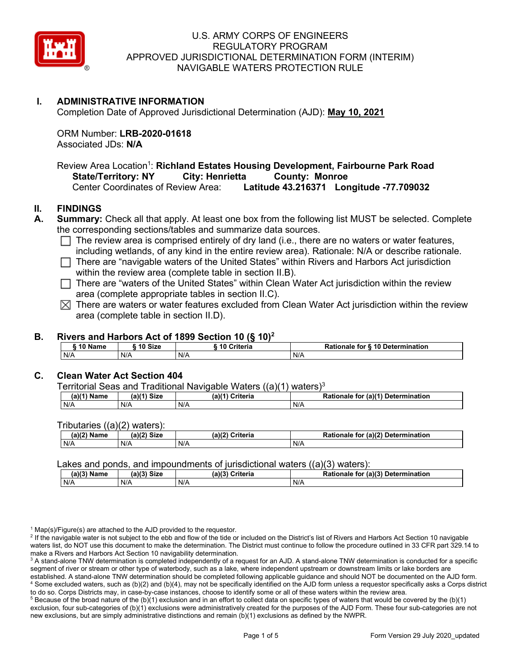

# **I. ADMINISTRATIVE INFORMATION**

Completion Date of Approved Jurisdictional Determination (AJD): **May 10, 2021**

ORM Number: **LRB-2020-01618** Associated JDs: **N/A**

Review Area Location<sup>1</sup>: **Richland Estates Housing Development, Fairbourne Park Road State/Territory: NY City: Henrietta County: Monroe Center Coordinates of Review Area: Latitude 43.216371 Lorget** Center Coordinates of Review Area: **Latitude 43.216371 Longitude -77.709032**

# **II. FINDINGS**

**A. Summary:** Check all that apply. At least one box from the following list MUST be selected. Complete the corresponding sections/tables and summarize data sources.

- $\Box$  The review area is comprised entirely of dry land (i.e., there are no waters or water features, including wetlands, of any kind in the entire review area). Rationale: N/A or describe rationale.
- $\Box$  There are "navigable waters of the United States" within Rivers and Harbors Act jurisdiction within the review area (complete table in section II.B).
- $\Box$  There are "waters of the United States" within Clean Water Act jurisdiction within the review area (complete appropriate tables in section II.C).
- $\boxtimes$  There are waters or water features excluded from Clean Water Act jurisdiction within the review area (complete table in section II.D).

## **B. Rivers and Harbors Act of 1899 Section 10 (§ 10)2**

| 10 Name | ຳ^ Size | <b>10 Criteria</b> | <b>S 10 Determination</b><br>Rationale<br>for. |
|---------|---------|--------------------|------------------------------------------------|
| N/A     | N/A     | N/A                | N/F                                            |

## **C. Clean Water Act Section 404**

Territorial Seas and Traditional Navigable Waters ((a)(1) waters)3

| √a) ∩<br>Name | Size<br>(a)(4) | ?riteria<br>a) <sup>r</sup> | .r (a)( <sup>4</sup><br><b>Determination</b><br>ີາnale .<br>tor |
|---------------|----------------|-----------------------------|-----------------------------------------------------------------|
| N/A           | N/A            | N/A                         | N/A                                                             |

Tributaries ((a)(2) waters):

| $(a)(2)$ .<br>Name | (a)(2)<br>C <sub>1</sub><br>эızе | (a)(2)<br><b>Criteria</b> | (a)(2) Detern<br><b>Ration</b><br>rmination<br>for<br>nale |
|--------------------|----------------------------------|---------------------------|------------------------------------------------------------|
| N/A                | N/A                              | N/A                       | N/A                                                        |

#### Lakes and ponds, and impoundments of jurisdictional waters ((a)(3) waters):

| (a)(3)<br>Name | (a)(?')<br>Size ۱ | (a)(3) Criteria | Rationale for (a)(3) Determination |
|----------------|-------------------|-----------------|------------------------------------|
| N/A            | N/A               | N/A             | N/A                                |

 $1$  Map(s)/Figure(s) are attached to the AJD provided to the requestor.

<sup>2</sup> If the navigable water is not subject to the ebb and flow of the tide or included on the District's list of Rivers and Harbors Act Section 10 navigable waters list, do NOT use this document to make the determination. The District must continue to follow the procedure outlined in 33 CFR part 329.14 to make a Rivers and Harbors Act Section 10 navigability determination.

 $5$  Because of the broad nature of the (b)(1) exclusion and in an effort to collect data on specific types of waters that would be covered by the (b)(1) exclusion, four sub-categories of (b)(1) exclusions were administratively created for the purposes of the AJD Form. These four sub-categories are not new exclusions, but are simply administrative distinctions and remain (b)(1) exclusions as defined by the NWPR.

<sup>&</sup>lt;sup>3</sup> A stand-alone TNW determination is completed independently of a request for an AJD. A stand-alone TNW determination is conducted for a specific segment of river or stream or other type of waterbody, such as a lake, where independent upstream or downstream limits or lake borders are established. A stand-alone TNW determination should be completed following applicable guidance and should NOT be documented on the AJD form. <sup>4</sup> Some excluded waters, such as (b)(2) and (b)(4), may not be specifically identified on the AJD form unless a requestor specifically asks a Corps district to do so. Corps Districts may, in case-by-case instances, choose to identify some or all of these waters within the review area.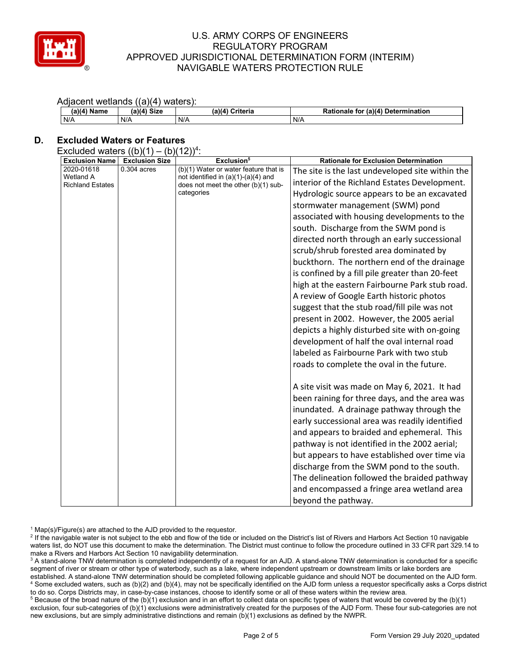

## Adjacent wetlands ((a)(4) waters):

| (a)(4)<br>Name | 1)(4) Size | (a)(4)<br>Criteria | - ` (a)(4) آب<br>Determination<br>Rationale<br>tor |
|----------------|------------|--------------------|----------------------------------------------------|
| N/A            | N/A        | N/A                | N/A                                                |

# **D. Excluded Waters or Features**

Excluded waters  $((b)(1) - (b)(12))^4$ :

| <b>Exclusion Name</b>                       | <b>Exclusion Size</b> | $\cdot$ – $\prime\prime$ $\cdot$<br>Exclusion <sup>5</sup>                                 | <b>Rationale for Exclusion Determination</b>     |
|---------------------------------------------|-----------------------|--------------------------------------------------------------------------------------------|--------------------------------------------------|
| 2020-01618                                  | $0.304$ acres         | (b)(1) Water or water feature that is                                                      | The site is the last undeveloped site within the |
| <b>Wetland A</b><br><b>Richland Estates</b> |                       | not identified in $(a)(1)-(a)(4)$ and<br>does not meet the other (b)(1) sub-<br>categories | interior of the Richland Estates Development.    |
|                                             |                       |                                                                                            | Hydrologic source appears to be an excavated     |
|                                             |                       |                                                                                            | stormwater management (SWM) pond                 |
|                                             |                       |                                                                                            | associated with housing developments to the      |
|                                             |                       |                                                                                            | south. Discharge from the SWM pond is            |
|                                             |                       |                                                                                            | directed north through an early successional     |
|                                             |                       |                                                                                            | scrub/shrub forested area dominated by           |
|                                             |                       |                                                                                            | buckthorn. The northern end of the drainage      |
|                                             |                       |                                                                                            | is confined by a fill pile greater than 20-feet  |
|                                             |                       |                                                                                            | high at the eastern Fairbourne Park stub road.   |
|                                             |                       |                                                                                            | A review of Google Earth historic photos         |
|                                             |                       |                                                                                            | suggest that the stub road/fill pile was not     |
|                                             |                       |                                                                                            | present in 2002. However, the 2005 aerial        |
|                                             |                       |                                                                                            | depicts a highly disturbed site with on-going    |
|                                             |                       |                                                                                            | development of half the oval internal road       |
|                                             |                       |                                                                                            | labeled as Fairbourne Park with two stub         |
|                                             |                       |                                                                                            | roads to complete the oval in the future.        |
|                                             |                       |                                                                                            |                                                  |
|                                             |                       |                                                                                            | A site visit was made on May 6, 2021. It had     |
|                                             |                       |                                                                                            | been raining for three days, and the area was    |
|                                             |                       |                                                                                            | inundated. A drainage pathway through the        |
|                                             |                       |                                                                                            | early successional area was readily identified   |
|                                             |                       |                                                                                            | and appears to braided and ephemeral. This       |
|                                             |                       |                                                                                            | pathway is not identified in the 2002 aerial;    |
|                                             |                       |                                                                                            | but appears to have established over time via    |
|                                             |                       |                                                                                            | discharge from the SWM pond to the south.        |
|                                             |                       |                                                                                            | The delineation followed the braided pathway     |
|                                             |                       |                                                                                            | and encompassed a fringe area wetland area       |
|                                             |                       |                                                                                            | beyond the pathway.                              |

 $1$  Map(s)/Figure(s) are attached to the AJD provided to the requestor.

<sup>5</sup> Because of the broad nature of the (b)(1) exclusion and in an effort to collect data on specific types of waters that would be covered by the (b)(1) exclusion, four sub-categories of (b)(1) exclusions were administratively created for the purposes of the AJD Form. These four sub-categories are not new exclusions, but are simply administrative distinctions and remain (b)(1) exclusions as defined by the NWPR.

<sup>&</sup>lt;sup>2</sup> If the navigable water is not subject to the ebb and flow of the tide or included on the District's list of Rivers and Harbors Act Section 10 navigable waters list, do NOT use this document to make the determination. The District must continue to follow the procedure outlined in 33 CFR part 329.14 to make a Rivers and Harbors Act Section 10 navigability determination.

<sup>&</sup>lt;sup>3</sup> A stand-alone TNW determination is completed independently of a request for an AJD. A stand-alone TNW determination is conducted for a specific segment of river or stream or other type of waterbody, such as a lake, where independent upstream or downstream limits or lake borders are established. A stand-alone TNW determination should be completed following applicable guidance and should NOT be documented on the AJD form. <sup>4</sup> Some excluded waters, such as (b)(2) and (b)(4), may not be specifically identified on the AJD form unless a requestor specifically asks a Corps district to do so. Corps Districts may, in case-by-case instances, choose to identify some or all of these waters within the review area.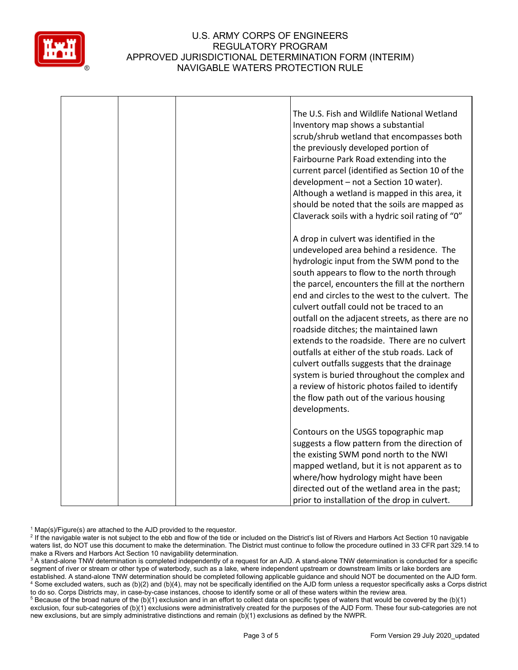

|  | The U.S. Fish and Wildlife National Wetland<br>Inventory map shows a substantial<br>scrub/shrub wetland that encompasses both<br>the previously developed portion of<br>Fairbourne Park Road extending into the<br>current parcel (identified as Section 10 of the<br>development - not a Section 10 water).<br>Although a wetland is mapped in this area, it<br>should be noted that the soils are mapped as<br>Claverack soils with a hydric soil rating of "0"                                                                                                                                                                                                                                                                             |
|--|-----------------------------------------------------------------------------------------------------------------------------------------------------------------------------------------------------------------------------------------------------------------------------------------------------------------------------------------------------------------------------------------------------------------------------------------------------------------------------------------------------------------------------------------------------------------------------------------------------------------------------------------------------------------------------------------------------------------------------------------------|
|  | A drop in culvert was identified in the<br>undeveloped area behind a residence. The<br>hydrologic input from the SWM pond to the<br>south appears to flow to the north through<br>the parcel, encounters the fill at the northern<br>end and circles to the west to the culvert. The<br>culvert outfall could not be traced to an<br>outfall on the adjacent streets, as there are no<br>roadside ditches; the maintained lawn<br>extends to the roadside. There are no culvert<br>outfalls at either of the stub roads. Lack of<br>culvert outfalls suggests that the drainage<br>system is buried throughout the complex and<br>a review of historic photos failed to identify<br>the flow path out of the various housing<br>developments. |
|  | Contours on the USGS topographic map<br>suggests a flow pattern from the direction of<br>the existing SWM pond north to the NWI<br>mapped wetland, but it is not apparent as to<br>where/how hydrology might have been<br>directed out of the wetland area in the past;<br>prior to installation of the drop in culvert.                                                                                                                                                                                                                                                                                                                                                                                                                      |

 $1$  Map(s)/Figure(s) are attached to the AJD provided to the requestor.

<sup>2</sup> If the navigable water is not subject to the ebb and flow of the tide or included on the District's list of Rivers and Harbors Act Section 10 navigable waters list, do NOT use this document to make the determination. The District must continue to follow the procedure outlined in 33 CFR part 329.14 to make a Rivers and Harbors Act Section 10 navigability determination.

<sup>3</sup> A stand-alone TNW determination is completed independently of a request for an AJD. A stand-alone TNW determination is conducted for a specific segment of river or stream or other type of waterbody, such as a lake, where independent upstream or downstream limits or lake borders are established. A stand-alone TNW determination should be completed following applicable guidance and should NOT be documented on the AJD form. <sup>4</sup> Some excluded waters, such as (b)(2) and (b)(4), may not be specifically identified on the AJD form unless a requestor specifically asks a Corps district to do so. Corps Districts may, in case-by-case instances, choose to identify some or all of these waters within the review area.

<sup>5</sup> Because of the broad nature of the (b)(1) exclusion and in an effort to collect data on specific types of waters that would be covered by the (b)(1) exclusion, four sub-categories of (b)(1) exclusions were administratively created for the purposes of the AJD Form. These four sub-categories are not new exclusions, but are simply administrative distinctions and remain (b)(1) exclusions as defined by the NWPR.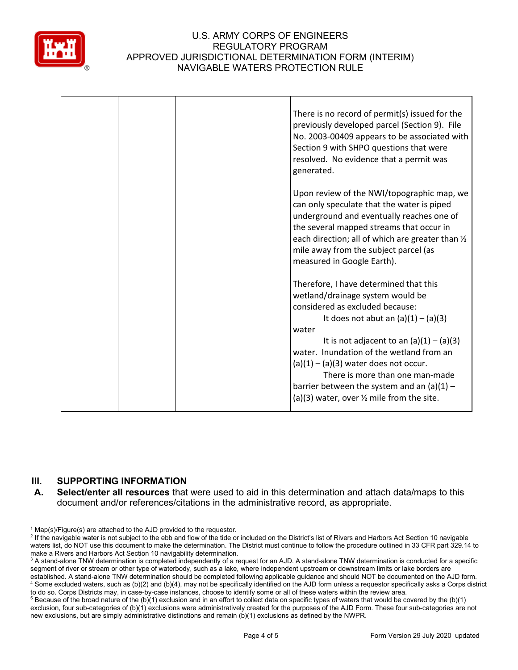

|  | There is no record of permit(s) issued for the<br>previously developed parcel (Section 9). File<br>No. 2003-00409 appears to be associated with<br>Section 9 with SHPO questions that were<br>resolved. No evidence that a permit was<br>generated.                                                                                                                                                                                             |
|--|-------------------------------------------------------------------------------------------------------------------------------------------------------------------------------------------------------------------------------------------------------------------------------------------------------------------------------------------------------------------------------------------------------------------------------------------------|
|  | Upon review of the NWI/topographic map, we<br>can only speculate that the water is piped<br>underground and eventually reaches one of<br>the several mapped streams that occur in<br>each direction; all of which are greater than 1/2<br>mile away from the subject parcel (as<br>measured in Google Earth).                                                                                                                                   |
|  | Therefore, I have determined that this<br>wetland/drainage system would be<br>considered as excluded because:<br>It does not abut an $(a)(1) - (a)(3)$<br>water<br>It is not adjacent to an $(a)(1) - (a)(3)$<br>water. Inundation of the wetland from an<br>$(a)(1) - (a)(3)$ water does not occur.<br>There is more than one man-made<br>barrier between the system and an $(a)(1)$ -<br>(a)(3) water, over $\frac{1}{2}$ mile from the site. |

# **III. SUPPORTING INFORMATION**

**A. Select/enter all resources** that were used to aid in this determination and attach data/maps to this document and/or references/citations in the administrative record, as appropriate.

 $1$  Map(s)/Figure(s) are attached to the AJD provided to the requestor.

<sup>&</sup>lt;sup>2</sup> If the navigable water is not subject to the ebb and flow of the tide or included on the District's list of Rivers and Harbors Act Section 10 navigable waters list, do NOT use this document to make the determination. The District must continue to follow the procedure outlined in 33 CFR part 329.14 to make a Rivers and Harbors Act Section 10 navigability determination.

<sup>&</sup>lt;sup>3</sup> A stand-alone TNW determination is completed independently of a request for an AJD. A stand-alone TNW determination is conducted for a specific segment of river or stream or other type of waterbody, such as a lake, where independent upstream or downstream limits or lake borders are established. A stand-alone TNW determination should be completed following applicable guidance and should NOT be documented on the AJD form. <sup>4</sup> Some excluded waters, such as (b)(2) and (b)(4), may not be specifically identified on the AJD form unless a requestor specifically asks a Corps district to do so. Corps Districts may, in case-by-case instances, choose to identify some or all of these waters within the review area.

 $5$  Because of the broad nature of the (b)(1) exclusion and in an effort to collect data on specific types of waters that would be covered by the (b)(1) exclusion, four sub-categories of (b)(1) exclusions were administratively created for the purposes of the AJD Form. These four sub-categories are not new exclusions, but are simply administrative distinctions and remain (b)(1) exclusions as defined by the NWPR.